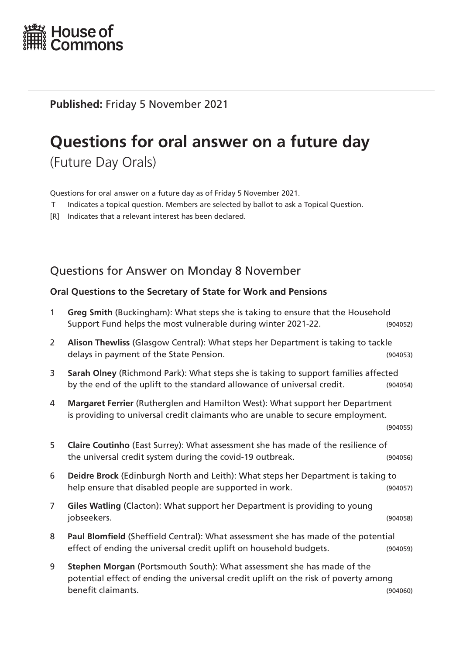

**Published:** Friday 5 November 2021

# **Questions for oral answer on a future day**

(Future Day Orals)

Questions for oral answer on a future day as of Friday 5 November 2021.

- T Indicates a topical question. Members are selected by ballot to ask a Topical Question.
- [R] Indicates that a relevant interest has been declared.

## Questions for Answer on Monday 8 November

#### **Oral Questions to the Secretary of State for Work and Pensions**

| $\mathbf{1}$   | Greg Smith (Buckingham): What steps she is taking to ensure that the Household<br>Support Fund helps the most vulnerable during winter 2021-22.                                     | (904052) |
|----------------|-------------------------------------------------------------------------------------------------------------------------------------------------------------------------------------|----------|
| $\overline{2}$ | Alison Thewliss (Glasgow Central): What steps her Department is taking to tackle<br>delays in payment of the State Pension.                                                         | (904053) |
| 3              | Sarah Olney (Richmond Park): What steps she is taking to support families affected<br>by the end of the uplift to the standard allowance of universal credit.                       | (904054) |
| 4              | Margaret Ferrier (Rutherglen and Hamilton West): What support her Department<br>is providing to universal credit claimants who are unable to secure employment.                     | (904055) |
| 5              | Claire Coutinho (East Surrey): What assessment she has made of the resilience of<br>the universal credit system during the covid-19 outbreak.                                       | (904056) |
| 6              | Deidre Brock (Edinburgh North and Leith): What steps her Department is taking to<br>help ensure that disabled people are supported in work.                                         | (904057) |
| $\overline{7}$ | Giles Watling (Clacton): What support her Department is providing to young<br>jobseekers.                                                                                           | (904058) |
| 8              | Paul Blomfield (Sheffield Central): What assessment she has made of the potential<br>effect of ending the universal credit uplift on household budgets.                             | (904059) |
| 9              | Stephen Morgan (Portsmouth South): What assessment she has made of the<br>potential effect of ending the universal credit uplift on the risk of poverty among<br>benefit claimants. | (904060) |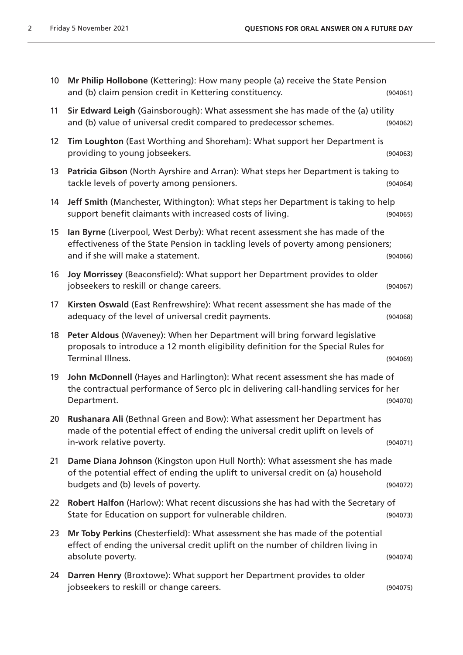| 10 <sup>°</sup>   | Mr Philip Hollobone (Kettering): How many people (a) receive the State Pension<br>and (b) claim pension credit in Kettering constituency.                                                                | (904061) |
|-------------------|----------------------------------------------------------------------------------------------------------------------------------------------------------------------------------------------------------|----------|
| 11                | Sir Edward Leigh (Gainsborough): What assessment she has made of the (a) utility<br>and (b) value of universal credit compared to predecessor schemes.                                                   | (904062) |
| $12 \overline{ }$ | Tim Loughton (East Worthing and Shoreham): What support her Department is<br>providing to young jobseekers.                                                                                              | (904063) |
| 13                | Patricia Gibson (North Ayrshire and Arran): What steps her Department is taking to<br>tackle levels of poverty among pensioners.                                                                         | (904064) |
| 14                | Jeff Smith (Manchester, Withington): What steps her Department is taking to help<br>support benefit claimants with increased costs of living.                                                            | (904065) |
| 15                | Ian Byrne (Liverpool, West Derby): What recent assessment she has made of the<br>effectiveness of the State Pension in tackling levels of poverty among pensioners;<br>and if she will make a statement. | (904066) |
| 16                | Joy Morrissey (Beaconsfield): What support her Department provides to older<br>jobseekers to reskill or change careers.                                                                                  | (904067) |
| 17                | Kirsten Oswald (East Renfrewshire): What recent assessment she has made of the<br>adequacy of the level of universal credit payments.                                                                    | (904068) |
| 18                | Peter Aldous (Waveney): When her Department will bring forward legislative<br>proposals to introduce a 12 month eligibility definition for the Special Rules for<br>Terminal Illness.                    | (904069) |
| 19                | John McDonnell (Hayes and Harlington): What recent assessment she has made of<br>the contractual performance of Serco plc in delivering call-handling services for her<br>Department.                    | (904070) |
|                   | 20 Rushanara Ali (Bethnal Green and Bow): What assessment her Department has<br>made of the potential effect of ending the universal credit uplift on levels of<br>in-work relative poverty.             | (904071) |
| 21                | Dame Diana Johnson (Kingston upon Hull North): What assessment she has made<br>of the potential effect of ending the uplift to universal credit on (a) household<br>budgets and (b) levels of poverty.   | (904072) |
| 22                | Robert Halfon (Harlow): What recent discussions she has had with the Secretary of<br>State for Education on support for vulnerable children.                                                             | (904073) |
| 23                | Mr Toby Perkins (Chesterfield): What assessment she has made of the potential<br>effect of ending the universal credit uplift on the number of children living in<br>absolute poverty.                   | (904074) |
| 24                | Darren Henry (Broxtowe): What support her Department provides to older<br>jobseekers to reskill or change careers.                                                                                       | (904075) |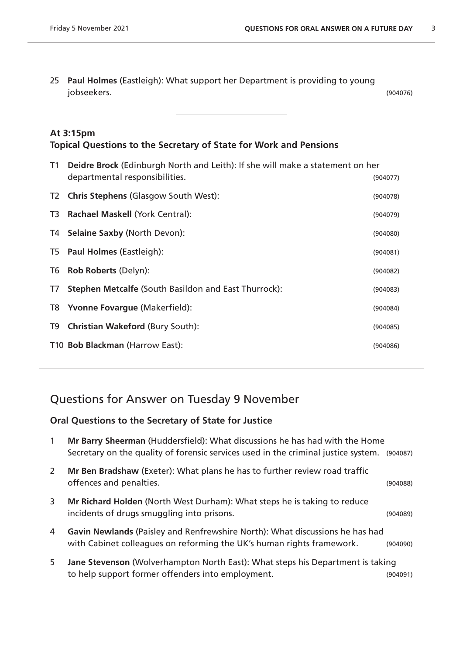25 **Paul Holmes** (Eastleigh): What support her Department is providing to young jobseekers. (904076)

#### **At 3:15pm Topical Questions to the Secretary of State for Work and Pensions**

| T1             | Deidre Brock (Edinburgh North and Leith): If she will make a statement on her |          |
|----------------|-------------------------------------------------------------------------------|----------|
|                | departmental responsibilities.                                                | (904077) |
| T <sub>2</sub> | <b>Chris Stephens (Glasgow South West):</b>                                   | (904078) |
| T3             | Rachael Maskell (York Central):                                               | (904079) |
| T4 I           | <b>Selaine Saxby (North Devon):</b>                                           | (904080) |
| T5             | <b>Paul Holmes (Eastleigh):</b>                                               | (904081) |
| T6             | <b>Rob Roberts (Delyn):</b>                                                   | (904082) |
| T7             | <b>Stephen Metcalfe (South Basildon and East Thurrock):</b>                   | (904083) |
| T8             | <b>Yvonne Fovargue (Makerfield):</b>                                          | (904084) |
| T9             | <b>Christian Wakeford (Bury South):</b>                                       | (904085) |
|                | T10 Bob Blackman (Harrow East):                                               | (904086) |
|                |                                                                               |          |

## Questions for Answer on Tuesday 9 November

#### **Oral Questions to the Secretary of State for Justice**

| $\mathbf{1}$ | Mr Barry Sheerman (Huddersfield): What discussions he has had with the Home<br>Secretary on the quality of forensic services used in the criminal justice system. | (904087) |
|--------------|-------------------------------------------------------------------------------------------------------------------------------------------------------------------|----------|
| <sup>2</sup> | Mr Ben Bradshaw (Exeter): What plans he has to further review road traffic<br>offences and penalties.                                                             | (904088) |
| 3            | Mr Richard Holden (North West Durham): What steps he is taking to reduce<br>incidents of drugs smuggling into prisons.                                            | (904089) |
| 4            | Gavin Newlands (Paisley and Renfrewshire North): What discussions he has had<br>with Cabinet colleagues on reforming the UK's human rights framework.             | (904090) |
| 5            | Jane Stevenson (Wolverhampton North East): What steps his Department is taking<br>to help support former offenders into employment.                               | (904091) |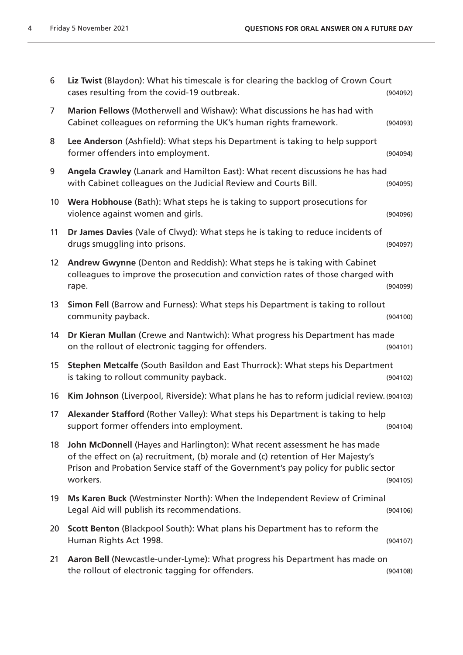| 6               | Liz Twist (Blaydon): What his timescale is for clearing the backlog of Crown Court<br>cases resulting from the covid-19 outbreak.                                                                                                                               | (904092) |
|-----------------|-----------------------------------------------------------------------------------------------------------------------------------------------------------------------------------------------------------------------------------------------------------------|----------|
| $\overline{7}$  | Marion Fellows (Motherwell and Wishaw): What discussions he has had with<br>Cabinet colleagues on reforming the UK's human rights framework.                                                                                                                    | (904093) |
| 8               | Lee Anderson (Ashfield): What steps his Department is taking to help support<br>former offenders into employment.                                                                                                                                               | (904094) |
| 9               | Angela Crawley (Lanark and Hamilton East): What recent discussions he has had<br>with Cabinet colleagues on the Judicial Review and Courts Bill.                                                                                                                | (904095) |
| 10 <sup>°</sup> | Wera Hobhouse (Bath): What steps he is taking to support prosecutions for<br>violence against women and girls.                                                                                                                                                  | (904096) |
| 11              | Dr James Davies (Vale of Clwyd): What steps he is taking to reduce incidents of<br>drugs smuggling into prisons.                                                                                                                                                | (904097) |
| 12 <sup>2</sup> | Andrew Gwynne (Denton and Reddish): What steps he is taking with Cabinet<br>colleagues to improve the prosecution and conviction rates of those charged with<br>rape.                                                                                           | (904099) |
| 13              | Simon Fell (Barrow and Furness): What steps his Department is taking to rollout<br>community payback.                                                                                                                                                           | (904100) |
| 14              | Dr Kieran Mullan (Crewe and Nantwich): What progress his Department has made<br>on the rollout of electronic tagging for offenders.                                                                                                                             | (904101) |
| 15              | Stephen Metcalfe (South Basildon and East Thurrock): What steps his Department<br>is taking to rollout community payback.                                                                                                                                       | (904102) |
| 16              | Kim Johnson (Liverpool, Riverside): What plans he has to reform judicial review. (904103)                                                                                                                                                                       |          |
| 17              | Alexander Stafford (Rother Valley): What steps his Department is taking to help<br>support former offenders into employment.                                                                                                                                    | (904104) |
| 18              | John McDonnell (Hayes and Harlington): What recent assessment he has made<br>of the effect on (a) recruitment, (b) morale and (c) retention of Her Majesty's<br>Prison and Probation Service staff of the Government's pay policy for public sector<br>workers. | (904105) |
| 19              | Ms Karen Buck (Westminster North): When the Independent Review of Criminal<br>Legal Aid will publish its recommendations.                                                                                                                                       | (904106) |
| 20              | Scott Benton (Blackpool South): What plans his Department has to reform the<br>Human Rights Act 1998.                                                                                                                                                           | (904107) |
| 21              | Aaron Bell (Newcastle-under-Lyme): What progress his Department has made on<br>the rollout of electronic tagging for offenders.                                                                                                                                 | (904108) |